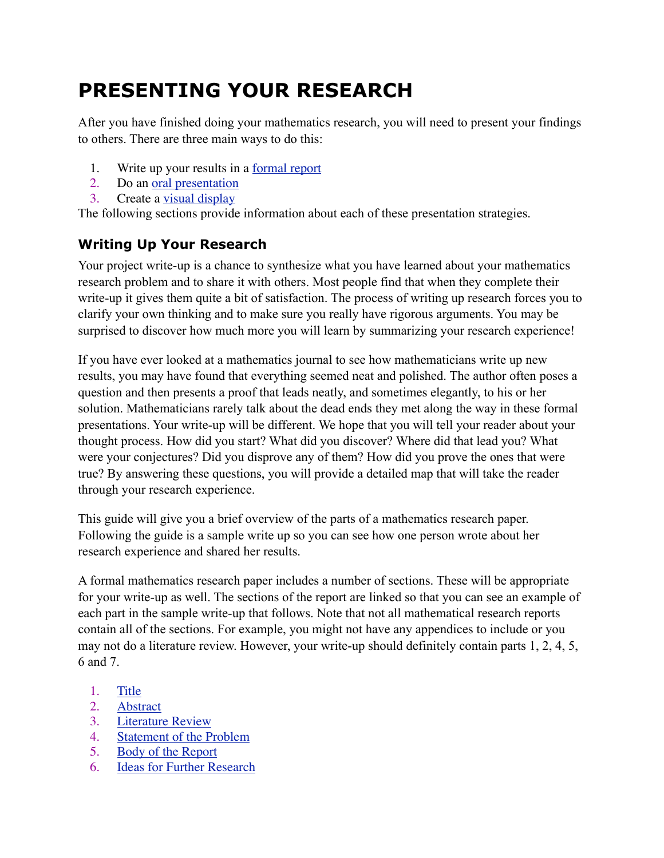# **PRESENTING YOUR RESEARCH**

After you have finished doing your mathematics research, you will need to present your findings to others. There are three main ways to do this:

- 1. Write up your results in a [formal report](http://www2.edc.org/makingmath/handbook/teacher/presentingYourResearch/presentingYourResearch.asp#ReportWriting)
- 2. Do an [oral presentation](http://www2.edc.org/makingmath/handbook/teacher/presentingYourResearch/presentingYourResearch.asp#OralPresentation)
- 3. Create a [visual display](http://www2.edc.org/makingmath/handbook/teacher/presentingYourResearch/presentingYourResearch.asp#DisplayLink)

The following sections provide information about each of these presentation strategies.

# **Writing Up Your Research**

Your project write-up is a chance to synthesize what you have learned about your mathematics research problem and to share it with others. Most people find that when they complete their write-up it gives them quite a bit of satisfaction. The process of writing up research forces you to clarify your own thinking and to make sure you really have rigorous arguments. You may be surprised to discover how much more you will learn by summarizing your research experience!

If you have ever looked at a mathematics journal to see how mathematicians write up new results, you may have found that everything seemed neat and polished. The author often poses a question and then presents a proof that leads neatly, and sometimes elegantly, to his or her solution. Mathematicians rarely talk about the dead ends they met along the way in these formal presentations. Your write-up will be different. We hope that you will tell your reader about your thought process. How did you start? What did you discover? Where did that lead you? What were your conjectures? Did you disprove any of them? How did you prove the ones that were true? By answering these questions, you will provide a detailed map that will take the reader through your research experience.

This guide will give you a brief overview of the parts of a mathematics research paper. Following the guide is a sample write up so you can see how one person wrote about her research experience and shared her results.

A formal mathematics research paper includes a number of sections. These will be appropriate for your write-up as well. The sections of the report are linked so that you can see an example of each part in the sample write-up that follows. Note that not all mathematical research reports contain all of the sections. For example, you might not have any appendices to include or you may not do a literature review. However, your write-up should definitely contain parts 1, 2, 4, 5, 6 and 7.

- 1. [Title](http://www2.edc.org/makingmath/handbook/teacher/presentingYourResearch/presentingYourResearch.asp#Title)
- 2. [Abstract](http://www2.edc.org/makingmath/handbook/teacher/presentingYourResearch/presentingYourResearch.asp#Abs)
- 3. [Literature Review](http://www2.edc.org/makingmath/handbook/teacher/presentingYourResearch/presentingYourResearch.asp#LitRev)
- 4. [Statement of the Problem](http://www2.edc.org/makingmath/handbook/teacher/presentingYourResearch/presentingYourResearch.asp#BodyofRept)
- 5. [Body of the Report](http://www2.edc.org/makingmath/handbook/teacher/presentingYourResearch/presentingYourResearch.asp#BodyofRept)
- 6. [Ideas for Further Research](http://www2.edc.org/makingmath/handbook/teacher/presentingYourResearch/presentingYourResearch.asp#Ideas)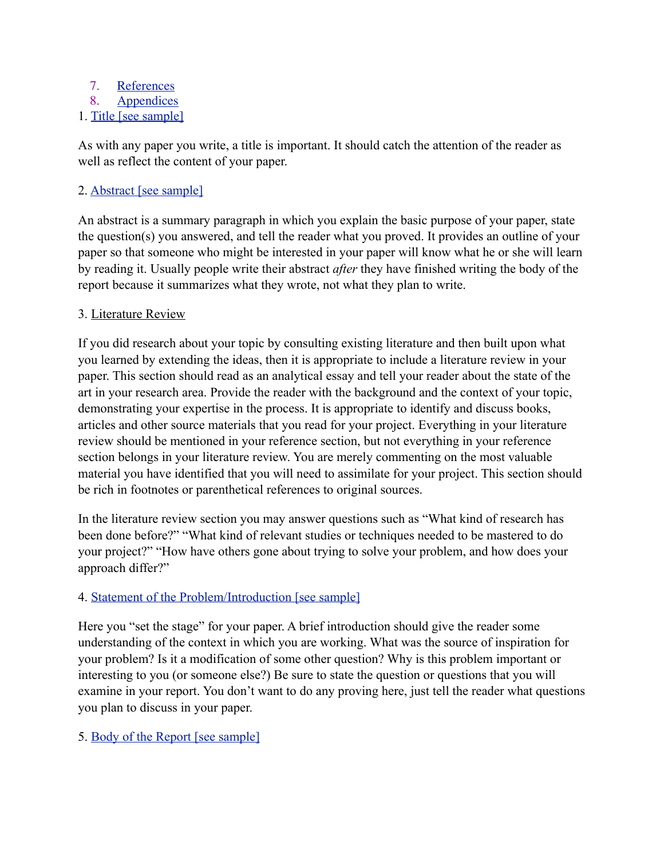# 7. [References](http://www2.edc.org/makingmath/handbook/teacher/presentingYourResearch/presentingYourResearch.asp#Refs)

#### 8. [Appendices](http://www2.edc.org/makingmath/handbook/teacher/presentingYourResearch/presentingYourResearch.asp#Appendices)

# 1. [Title \[see sample\]](http://www2.edc.org/makingmath/handbook/teacher/presentingYourResearch/presentingYourResearch.asp#SampleTitle)

As with any paper you write, a title is important. It should catch the attention of the reader as well as reflect the content of your paper.

# 2. [Abstract \[see sample\]](http://www2.edc.org/makingmath/handbook/teacher/presentingYourResearch/presentingYourResearch.asp#Abstract)

An abstract is a summary paragraph in which you explain the basic purpose of your paper, state the question(s) you answered, and tell the reader what you proved. It provides an outline of your paper so that someone who might be interested in your paper will know what he or she will learn by reading it. Usually people write their abstract *after* they have finished writing the body of the report because it summarizes what they wrote, not what they plan to write.

#### 3. Literature Review

If you did research about your topic by consulting existing literature and then built upon what you learned by extending the ideas, then it is appropriate to include a literature review in your paper. This section should read as an analytical essay and tell your reader about the state of the art in your research area. Provide the reader with the background and the context of your topic, demonstrating your expertise in the process. It is appropriate to identify and discuss books, articles and other source materials that you read for your project. Everything in your literature review should be mentioned in your reference section, but not everything in your reference section belongs in your literature review. You are merely commenting on the most valuable material you have identified that you will need to assimilate for your project. This section should be rich in footnotes or parenthetical references to original sources.

In the literature review section you may answer questions such as "What kind of research has been done before?" "What kind of relevant studies or techniques needed to be mastered to do your project?" "How have others gone about trying to solve your problem, and how does your approach differ?"

# 4. [Statement of the Problem/Introduction \[see sample\]](http://www2.edc.org/makingmath/handbook/teacher/presentingYourResearch/presentingYourResearch.asp#ProblemStatement)

Here you "set the stage" for your paper. A brief introduction should give the reader some understanding of the context in which you are working. What was the source of inspiration for your problem? Is it a modification of some other question? Why is this problem important or interesting to you (or someone else?) Be sure to state the question or questions that you will examine in your report. You don't want to do any proving here, just tell the reader what questions you plan to discuss in your paper.

# 5. [Body of the Report \[see sample\]](http://www2.edc.org/makingmath/handbook/teacher/presentingYourResearch/presentingYourResearch.asp#Body)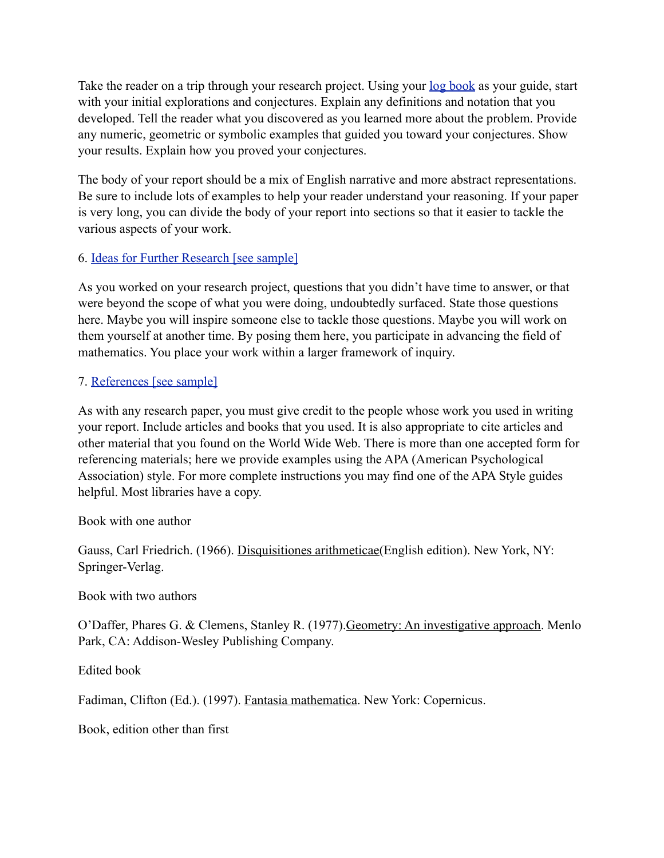Take the reader on a trip through your research project. Using your <u>log book</u> as your guide, start with your initial explorations and conjectures. Explain any definitions and notation that you developed. Tell the reader what you discovered as you learned more about the problem. Provide any numeric, geometric or symbolic examples that guided you toward your conjectures. Show your results. Explain how you proved your conjectures.

The body of your report should be a mix of English narrative and more abstract representations. Be sure to include lots of examples to help your reader understand your reasoning. If your paper is very long, you can divide the body of your report into sections so that it easier to tackle the various aspects of your work.

#### 6. [Ideas for Further Research \[see sample\]](http://www2.edc.org/makingmath/handbook/teacher/presentingYourResearch/presentingYourResearch.asp#FurtherResearch)

As you worked on your research project, questions that you didn't have time to answer, or that were beyond the scope of what you were doing, undoubtedly surfaced. State those questions here. Maybe you will inspire someone else to tackle those questions. Maybe you will work on them yourself at another time. By posing them here, you participate in advancing the field of mathematics. You place your work within a larger framework of inquiry.

#### 7. [References \[see sample\]](http://www2.edc.org/makingmath/handbook/teacher/presentingYourResearch/presentingYourResearch.asp#References)

As with any research paper, you must give credit to the people whose work you used in writing your report. Include articles and books that you used. It is also appropriate to cite articles and other material that you found on the World Wide Web. There is more than one accepted form for referencing materials; here we provide examples using the APA (American Psychological Association) style. For more complete instructions you may find one of the APA Style guides helpful. Most libraries have a copy.

Book with one author

Gauss, Carl Friedrich. (1966). Disquisitiones arithmeticae(English edition). New York, NY: Springer-Verlag.

Book with two authors

O'Daffer, Phares G. & Clemens, Stanley R. (1977).Geometry: An investigative approach. Menlo Park, CA: Addison-Wesley Publishing Company.

Edited book

Fadiman, Clifton (Ed.). (1997). Fantasia mathematica. New York: Copernicus.

Book, edition other than first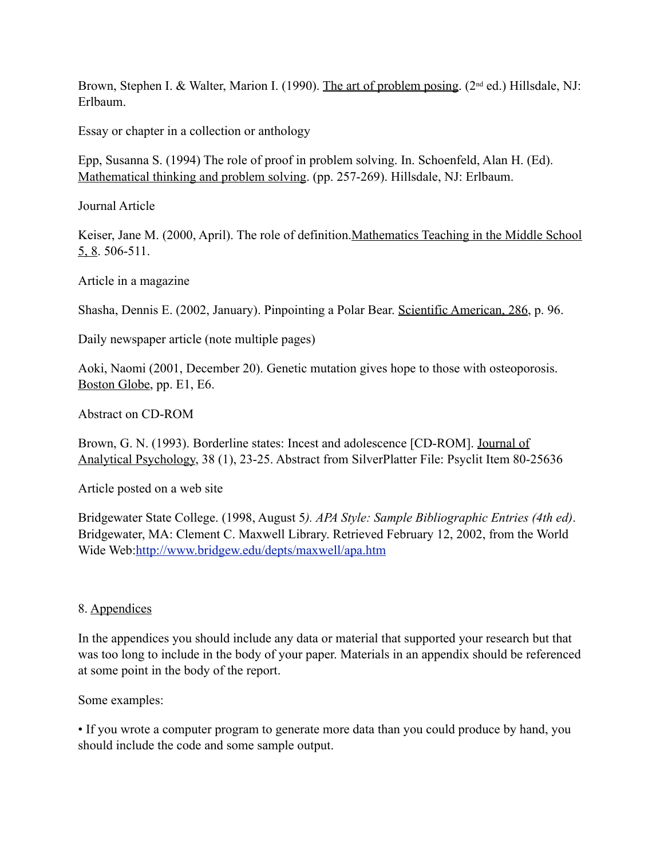Brown, Stephen I. & Walter, Marion I. (1990). The art of problem posing. (2<sup>nd</sup> ed.) Hillsdale, NJ: Erlbaum.

Essay or chapter in a collection or anthology

Epp, Susanna S. (1994) The role of proof in problem solving. In. Schoenfeld, Alan H. (Ed). Mathematical thinking and problem solving. (pp. 257-269). Hillsdale, NJ: Erlbaum.

Journal Article

Keiser, Jane M. (2000, April). The role of definition. Mathematics Teaching in the Middle School 5, 8. 506-511.

Article in a magazine

Shasha, Dennis E. (2002, January). Pinpointing a Polar Bear. Scientific American, 286, p. 96.

Daily newspaper article (note multiple pages)

Aoki, Naomi (2001, December 20). Genetic mutation gives hope to those with osteoporosis. Boston Globe, pp. E1, E6.

Abstract on CD-ROM

Brown, G. N. (1993). Borderline states: Incest and adolescence [CD-ROM]. Journal of Analytical Psychology, 38 (1), 23-25. Abstract from SilverPlatter File: Psyclit Item 80-25636

Article posted on a web site

Bridgewater State College. (1998, August 5*). APA Style: Sample Bibliographic Entries (4th ed)*. Bridgewater, MA: Clement C. Maxwell Library. Retrieved February 12, 2002, from the World Wide Web[:http://www.bridgew.edu/depts/maxwell/apa.htm](http://www.bridgew.edu/depts/maxwell/apa.htm)

# 8. Appendices

In the appendices you should include any data or material that supported your research but that was too long to include in the body of your paper. Materials in an appendix should be referenced at some point in the body of the report.

Some examples:

• If you wrote a computer program to generate more data than you could produce by hand, you should include the code and some sample output.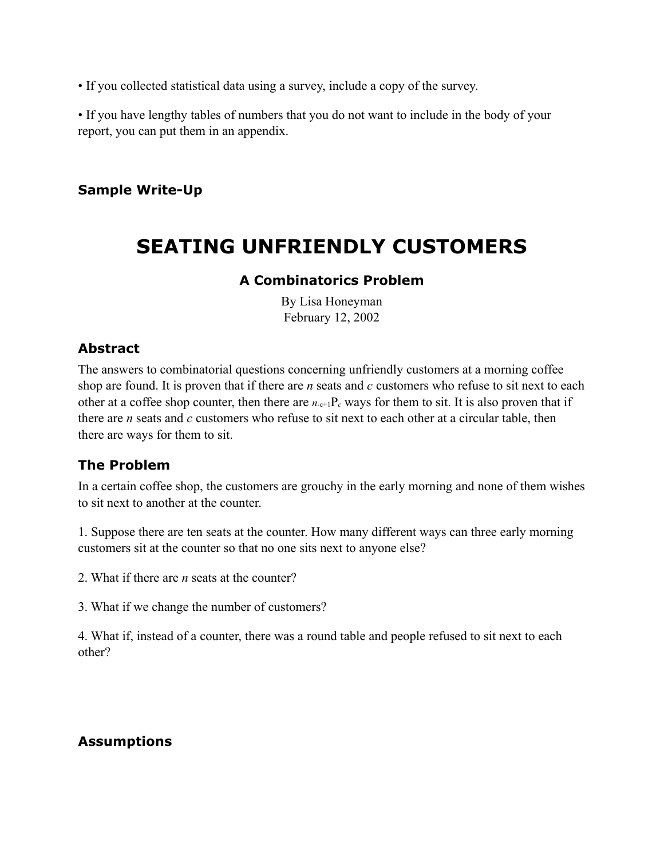• If you collected statistical data using a survey, include a copy of the survey.

• If you have lengthy tables of numbers that you do not want to include in the body of your report, you can put them in an appendix.

# **Sample Write-Up**

# **SEATING UNFRIENDLY CUSTOMERS**

# **A Combinatorics Problem**

By Lisa Honeyman February 12, 2002

# **Abstract**

The answers to combinatorial questions concerning unfriendly customers at a morning coffee shop are found. It is proven that if there are *n* seats and *c* customers who refuse to sit next to each other at a coffee shop counter, then there are  $n_{-c+1}P_c$  ways for them to sit. It is also proven that if there are *n* seats and *c* customers who refuse to sit next to each other at a circular table, then there are ways for them to sit.

# **The Problem**

In a certain coffee shop, the customers are grouchy in the early morning and none of them wishes to sit next to another at the counter.

1. Suppose there are ten seats at the counter. How many different ways can three early morning customers sit at the counter so that no one sits next to anyone else?

2. What if there are *n* seats at the counter?

3. What if we change the number of customers?

4. What if, instead of a counter, there was a round table and people refused to sit next to each other?

# **Assumptions**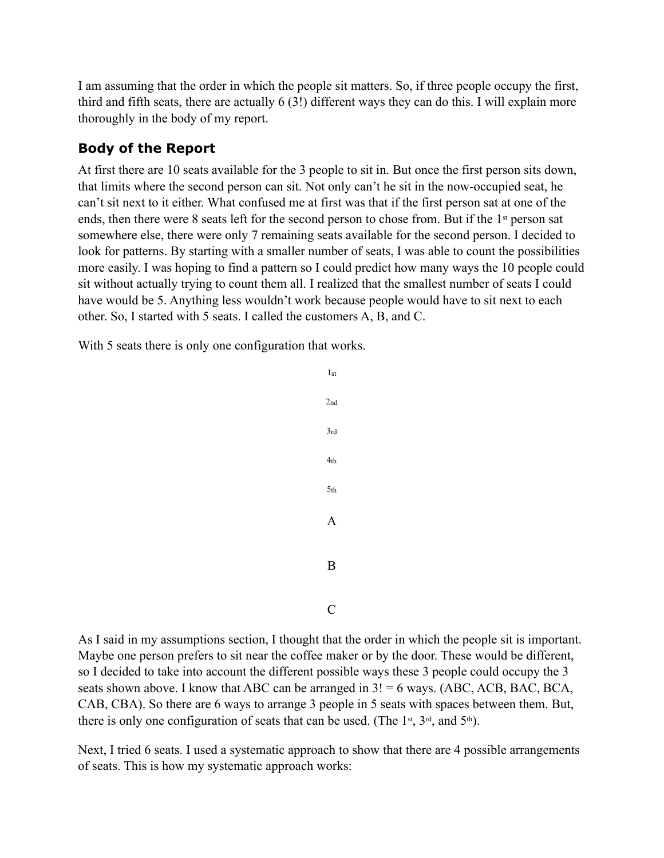I am assuming that the order in which the people sit matters. So, if three people occupy the first, third and fifth seats, there are actually 6 (3!) different ways they can do this. I will explain more thoroughly in the body of my report.

# **Body of the Report**

At first there are 10 seats available for the 3 people to sit in. But once the first person sits down, that limits where the second person can sit. Not only can't he sit in the now-occupied seat, he can't sit next to it either. What confused me at first was that if the first person sat at one of the ends, then there were 8 seats left for the second person to chose from. But if the 1<sup>st</sup> person sat somewhere else, there were only 7 remaining seats available for the second person. I decided to look for patterns. By starting with a smaller number of seats, I was able to count the possibilities more easily. I was hoping to find a pattern so I could predict how many ways the 10 people could sit without actually trying to count them all. I realized that the smallest number of seats I could have would be 5. Anything less wouldn't work because people would have to sit next to each other. So, I started with 5 seats. I called the customers A, B, and C.

With 5 seats there is only one configuration that works.

1st 2nd 3rd 4th 5th A B

 $\overline{C}$ 

As I said in my assumptions section, I thought that the order in which the people sit is important. Maybe one person prefers to sit near the coffee maker or by the door. These would be different, so I decided to take into account the different possible ways these 3 people could occupy the 3 seats shown above. I know that ABC can be arranged in  $3! = 6$  ways. (ABC, ACB, BAC, BCA, CAB, CBA). So there are 6 ways to arrange 3 people in 5 seats with spaces between them. But, there is only one configuration of seats that can be used. (The  $1<sup>st</sup>$ ,  $3<sup>rd</sup>$ , and  $5<sup>th</sup>$ ).

Next, I tried 6 seats. I used a systematic approach to show that there are 4 possible arrangements of seats. This is how my systematic approach works: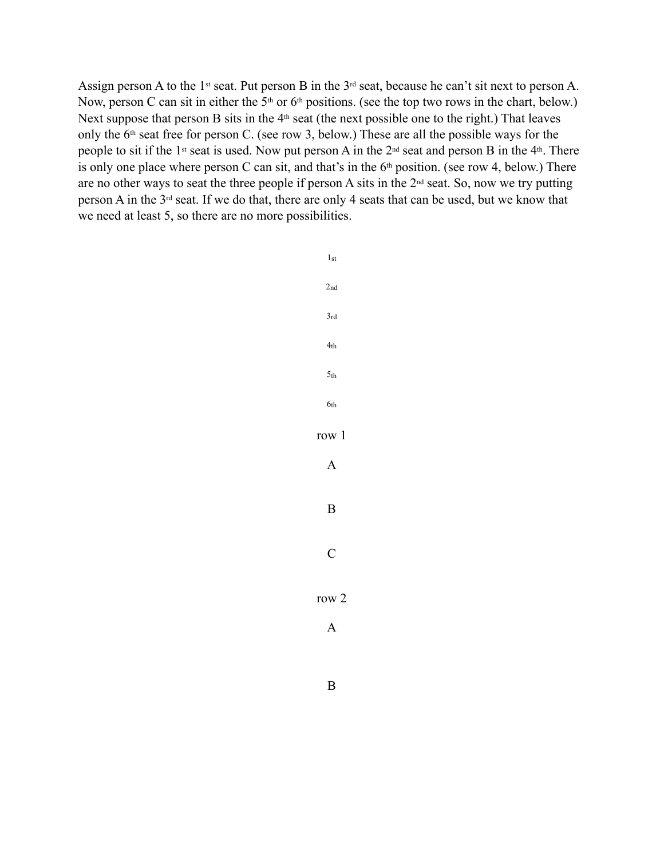Assign person A to the 1<sup>st</sup> seat. Put person B in the 3<sup>rd</sup> seat, because he can't sit next to person A. Now, person C can sit in either the 5<sup>th</sup> or 6<sup>th</sup> positions. (see the top two rows in the chart, below.) Next suppose that person B sits in the  $4<sup>th</sup>$  seat (the next possible one to the right.) That leaves only the  $6<sup>th</sup>$  seat free for person C. (see row 3, below.) These are all the possible ways for the people to sit if the 1<sup>st</sup> seat is used. Now put person A in the 2<sup>nd</sup> seat and person B in the 4<sup>th</sup>. There is only one place where person C can sit, and that's in the  $6<sup>th</sup>$  position. (see row 4, below.) There are no other ways to seat the three people if person A sits in the 2nd seat. So, now we try putting person A in the 3rd seat. If we do that, there are only 4 seats that can be used, but we know that we need at least 5, so there are no more possibilities.

> 1st 2nd 3rd 4th 5th 6th row 1 A B C row 2 A

> > B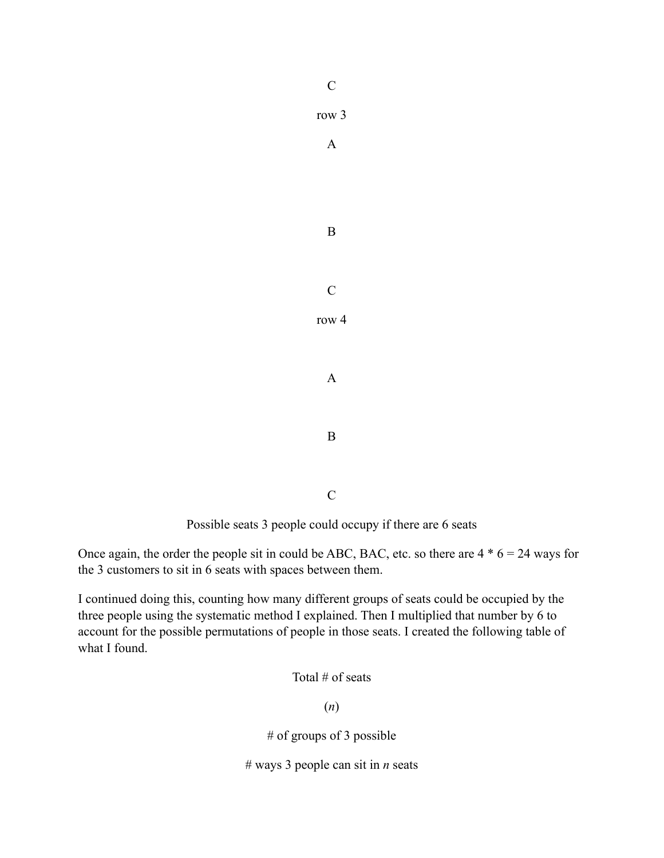row 3

A

B

row 4

A

C

B

C

Possible seats 3 people could occupy if there are 6 seats

Once again, the order the people sit in could be ABC, BAC, etc. so there are  $4 * 6 = 24$  ways for the 3 customers to sit in 6 seats with spaces between them.

I continued doing this, counting how many different groups of seats could be occupied by the three people using the systematic method I explained. Then I multiplied that number by 6 to account for the possible permutations of people in those seats. I created the following table of what I found.

Total # of seats

(*n*)

# of groups of 3 possible

# ways 3 people can sit in *n* seats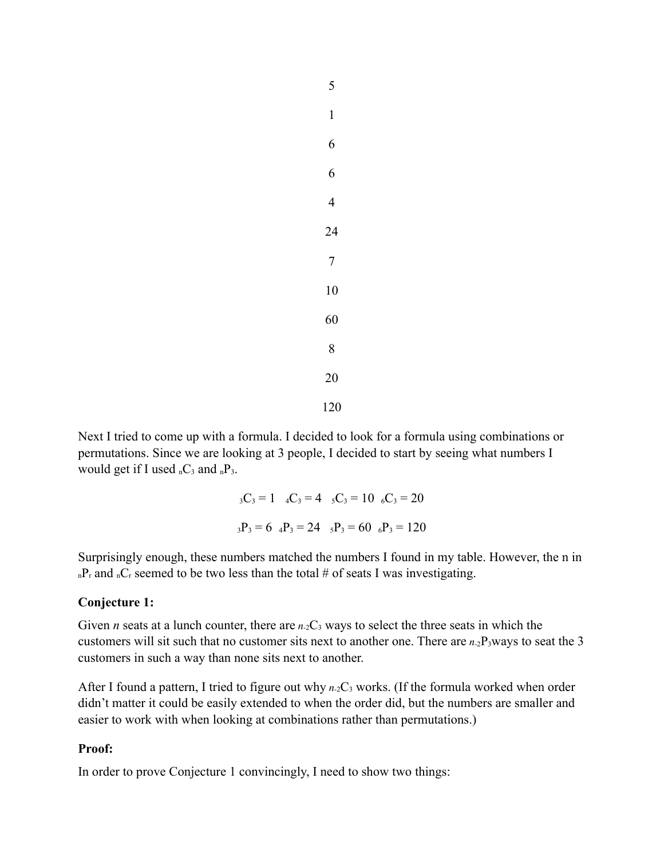Next I tried to come up with a formula. I decided to look for a formula using combinations or permutations. Since we are looking at 3 people, I decided to start by seeing what numbers I would get if I used  ${}_{n}C_{3}$  and  ${}_{n}P_{3}$ .

> ${}_{3}C_{3} = 1$   ${}_{4}C_{3} = 4$   ${}_{5}C_{3} = 10$   ${}_{6}C_{3} = 20$  $_3P_3 = 6$   $_4P_3 = 24$   $_5P_3 = 60$   $_6P_3 = 120$

Surprisingly enough, these numbers matched the numbers I found in my table. However, the n in  $n_{\rm n}P_r$  and  $n_{\rm cr}C_r$  seemed to be two less than the total # of seats I was investigating.

#### **Conjecture 1:**

Given *n* seats at a lunch counter, there are  $n_2C_3$  ways to select the three seats in which the customers will sit such that no customer sits next to another one. There are *n*-2P<sub>3</sub>ways to seat the 3 customers in such a way than none sits next to another.

After I found a pattern, I tried to figure out why *n*-2C<sub>3</sub> works. (If the formula worked when order didn't matter it could be easily extended to when the order did, but the numbers are smaller and easier to work with when looking at combinations rather than permutations.)

#### **Proof:**

In order to prove Conjecture 1 convincingly, I need to show two things: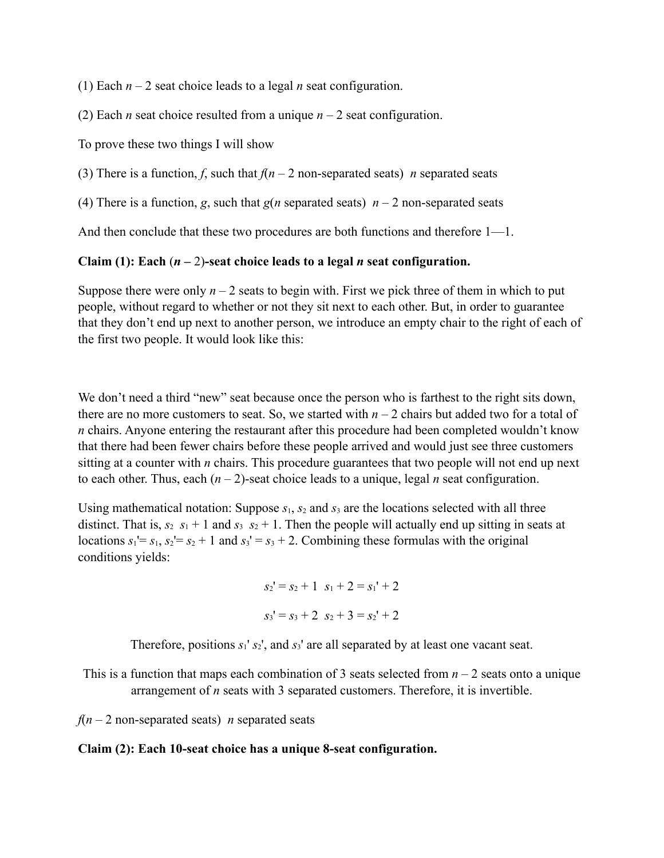(1) Each *n* – 2 seat choice leads to a legal *n* seat configuration.

(2) Each *n* seat choice resulted from a unique  $n - 2$  seat configuration.

To prove these two things I will show

(3) There is a function, *f*, such that  $f(n-2)$  non-separated seats) *n* separated seats

(4) There is a function, *g*, such that  $g(n)$  separated seats)  $n-2$  non-separated seats

And then conclude that these two procedures are both functions and therefore 1—1.

#### **Claim (1):** Each  $(n-2)$ -seat choice leads to a legal *n* seat configuration.

Suppose there were only  $n - 2$  seats to begin with. First we pick three of them in which to put people, without regard to whether or not they sit next to each other. But, in order to guarantee that they don't end up next to another person, we introduce an empty chair to the right of each of the first two people. It would look like this:

We don't need a third "new" seat because once the person who is farthest to the right sits down, there are no more customers to seat. So, we started with  $n-2$  chairs but added two for a total of *n* chairs. Anyone entering the restaurant after this procedure had been completed wouldn't know that there had been fewer chairs before these people arrived and would just see three customers sitting at a counter with *n* chairs. This procedure guarantees that two people will not end up next to each other. Thus, each  $(n - 2)$ -seat choice leads to a unique, legal *n* seat configuration.

Using mathematical notation: Suppose  $s_1$ ,  $s_2$  and  $s_3$  are the locations selected with all three distinct. That is,  $s_2$   $s_1 + 1$  and  $s_3$   $s_2 + 1$ . Then the people will actually end up sitting in seats at locations  $s_1 = s_1$ ,  $s_2 = s_2 + 1$  and  $s_3 = s_3 + 2$ . Combining these formulas with the original conditions yields:

$$
s_2' = s_2 + 1 \quad s_1 + 2 = s_1' + 2
$$
  

$$
s_3' = s_3 + 2 \quad s_2 + 3 = s_2' + 2
$$

Therefore, positions  $s_1$ '  $s_2$ ', and  $s_3$ ' are all separated by at least one vacant seat.

This is a function that maps each combination of 3 seats selected from  $n-2$  seats onto a unique arrangement of *n* seats with 3 separated customers. Therefore, it is invertible.

 $f(n-2)$  non-separated seats) *n* separated seats

#### **Claim (2): Each 10-seat choice has a unique 8-seat configuration.**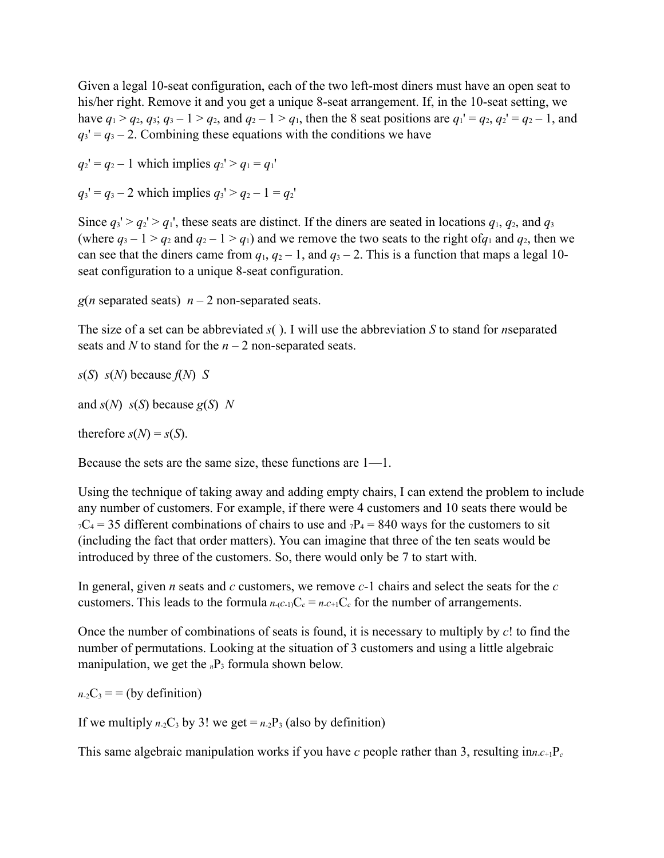Given a legal 10-seat configuration, each of the two left-most diners must have an open seat to his/her right. Remove it and you get a unique 8-seat arrangement. If, in the 10-seat setting, we have  $q_1 > q_2$ ,  $q_3$ ;  $q_3 - 1 > q_2$ , and  $q_2 - 1 > q_1$ , then the 8 seat positions are  $q_1' = q_2$ ,  $q_2' = q_2 - 1$ , and  $q_3' = q_3 - 2$ . Combining these equations with the conditions we have

 $q_2' = q_2 - 1$  which implies  $q_2' > q_1 = q_1'$ 

 $q_3' = q_3 - 2$  which implies  $q_3' > q_2 - 1 = q_2'$ 

Since  $q_3' > q_2' > q_1'$ , these seats are distinct. If the diners are seated in locations  $q_1, q_2$ , and  $q_3$ (where  $q_3 - 1 > q_2$  and  $q_2 - 1 > q_1$ ) and we remove the two seats to the right of  $q_1$  and  $q_2$ , then we can see that the diners came from  $q_1$ ,  $q_2 - 1$ , and  $q_3 - 2$ . This is a function that maps a legal 10seat configuration to a unique 8-seat configuration.

 $g(n)$  separated seats)  $n-2$  non-separated seats.

The size of a set can be abbreviated *s*( ). I will use the abbreviation *S* to stand for *n*separated seats and *N* to stand for the  $n-2$  non-separated seats.

 $s(S)$  *s*(*N*) because  $f(N)$  *S* 

and *s*(*N*) *s*(*S*) because *g*(*S*) *N*

therefore  $s(N) = s(S)$ .

Because the sets are the same size, these functions are 1—1.

Using the technique of taking away and adding empty chairs, I can extend the problem to include any number of customers. For example, if there were 4 customers and 10 seats there would be  $T_7C_4 = 35$  different combinations of chairs to use and  $T_4 = 840$  ways for the customers to sit (including the fact that order matters). You can imagine that three of the ten seats would be introduced by three of the customers. So, there would only be 7 to start with.

In general, given *n* seats and *c* customers, we remove *c-*1 chairs and select the seats for the *c* customers. This leads to the formula  $n_{-}(c_{-1})C_c = n_{-}c_{+1}C_c$  for the number of arrangements.

Once the number of combinations of seats is found, it is necessary to multiply by *c*! to find the number of permutations. Looking at the situation of 3 customers and using a little algebraic manipulation, we get the <sub>*n*</sub>P<sub>3</sub> formula shown below.

 $n_2C_3$  = = (by definition)

If we multiply  $n_2C_3$  by 3! we get  $= n_2P_3$  (also by definition)

This same algebraic manipulation works if you have *c* people rather than 3, resulting  $\text{im.c}_{+1}P_c$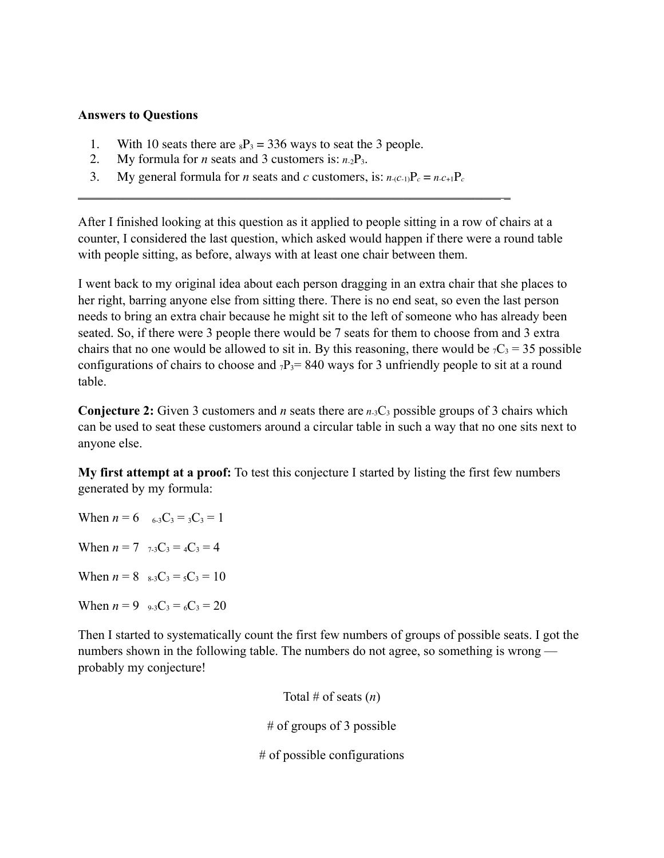#### **Answers to Questions**

- 1. With 10 seats there are  $_8P_3 = 336$  ways to seat the 3 people.
- 2. My formula for *n* seats and 3 customers is: *n*-2P3.
- 3. My general formula for *n* seats and *c* customers, is:  $n_{\text{c}}c_{-1}P_c = n_{\text{c}+1}P_c$

\_\_\_\_\_\_\_\_\_\_\_\_\_\_\_\_\_\_\_\_\_\_\_\_\_\_\_\_\_\_\_\_\_\_\_\_\_\_\_\_\_\_\_\_\_\_\_\_\_\_\_\_\_\_\_\_\_\_\_\_\_\_\_\_\_ \_

After I finished looking at this question as it applied to people sitting in a row of chairs at a counter, I considered the last question, which asked would happen if there were a round table with people sitting, as before, always with at least one chair between them.

I went back to my original idea about each person dragging in an extra chair that she places to her right, barring anyone else from sitting there. There is no end seat, so even the last person needs to bring an extra chair because he might sit to the left of someone who has already been seated. So, if there were 3 people there would be 7 seats for them to choose from and 3 extra chairs that no one would be allowed to sit in. By this reasoning, there would be  $\tau C_3 = 35$  possible configurations of chairs to choose and  $_7P_3$  = 840 ways for 3 unfriendly people to sit at a round table.

**Conjecture 2:** Given 3 customers and *n* seats there are *n*-3C3 possible groups of 3 chairs which can be used to seat these customers around a circular table in such a way that no one sits next to anyone else.

**My first attempt at a proof:** To test this conjecture I started by listing the first few numbers generated by my formula:

When  $n = 6$  6-3C<sub>3</sub> = 3C<sub>3</sub> = 1 When  $n = 7$   $_{7-3}C_3 = _4C_3 = 4$ When  $n = 8$   $_{8-3}C_3 = _5C_3 = 10$ When  $n = 9$   $_{9\text{-}3}C_3 = _{6}C_3 = 20$ 

Then I started to systematically count the first few numbers of groups of possible seats. I got the numbers shown in the following table. The numbers do not agree, so something is wrong probably my conjecture!

Total # of seats (*n*)

# of groups of 3 possible

# of possible configurations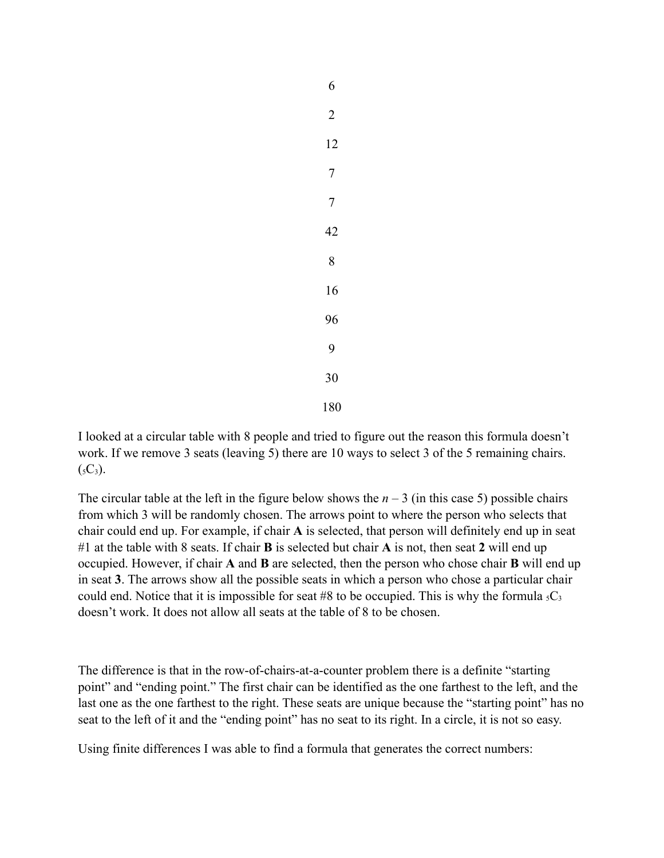I looked at a circular table with 8 people and tried to figure out the reason this formula doesn't work. If we remove 3 seats (leaving 5) there are 10 ways to select 3 of the 5 remaining chairs.  $(5C_3)$ .

The circular table at the left in the figure below shows the  $n-3$  (in this case 5) possible chairs from which 3 will be randomly chosen. The arrows point to where the person who selects that chair could end up. For example, if chair **A** is selected, that person will definitely end up in seat #1 at the table with 8 seats. If chair **B** is selected but chair **A** is not, then seat **2** will end up occupied. However, if chair **A** and **B** are selected, then the person who chose chair **B** will end up in seat **3**. The arrows show all the possible seats in which a person who chose a particular chair could end. Notice that it is impossible for seat #8 to be occupied. This is why the formula  ${}_{5}C_{3}$ doesn't work. It does not allow all seats at the table of 8 to be chosen.

The difference is that in the row-of-chairs-at-a-counter problem there is a definite "starting point" and "ending point." The first chair can be identified as the one farthest to the left, and the last one as the one farthest to the right. These seats are unique because the "starting point" has no seat to the left of it and the "ending point" has no seat to its right. In a circle, it is not so easy.

Using finite differences I was able to find a formula that generates the correct numbers: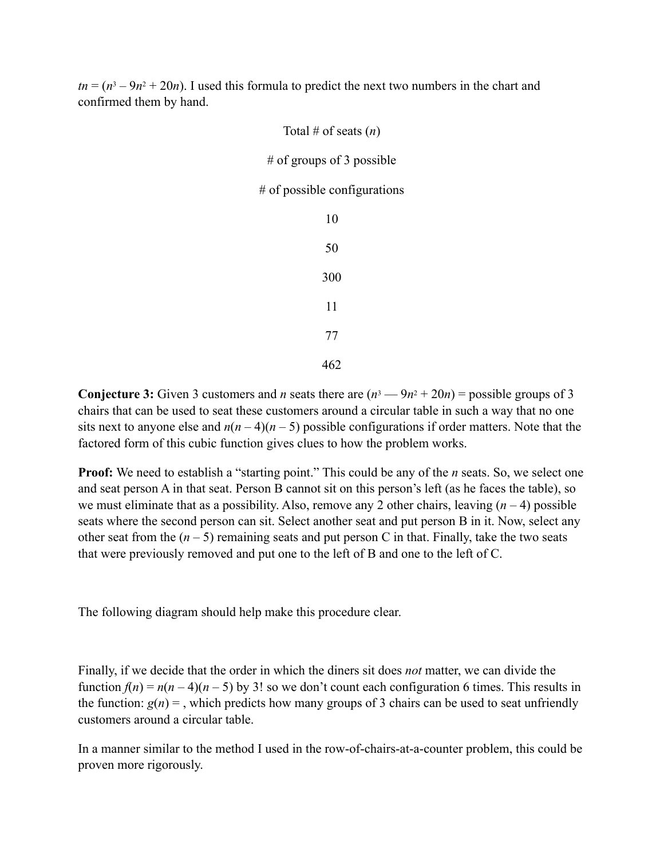$tn = (n^3 - 9n^2 + 20n)$ . I used this formula to predict the next two numbers in the chart and confirmed them by hand.

| Total # of seats $(n)$         |
|--------------------------------|
| # of groups of 3 possible      |
| $#$ of possible configurations |
| 10                             |
| 50                             |
| 300                            |
| 11                             |
| 77                             |
| 462                            |

**Conjecture 3:** Given 3 customers and *n* seats there are  $(n^3 - 9n^2 + 20n)$  = possible groups of 3 chairs that can be used to seat these customers around a circular table in such a way that no one sits next to anyone else and  $n(n-4)(n-5)$  possible configurations if order matters. Note that the factored form of this cubic function gives clues to how the problem works.

**Proof:** We need to establish a "starting point." This could be any of the *n* seats. So, we select one and seat person A in that seat. Person B cannot sit on this person's left (as he faces the table), so we must eliminate that as a possibility. Also, remove any 2 other chairs, leaving  $(n - 4)$  possible seats where the second person can sit. Select another seat and put person B in it. Now, select any other seat from the  $(n - 5)$  remaining seats and put person C in that. Finally, take the two seats that were previously removed and put one to the left of B and one to the left of C.

The following diagram should help make this procedure clear.

Finally, if we decide that the order in which the diners sit does *not* matter, we can divide the function  $f(n) = n(n-4)(n-5)$  by 3! so we don't count each configuration 6 times. This results in the function:  $g(n)$  = , which predicts how many groups of 3 chairs can be used to seat unfriendly customers around a circular table.

In a manner similar to the method I used in the row-of-chairs-at-a-counter problem, this could be proven more rigorously.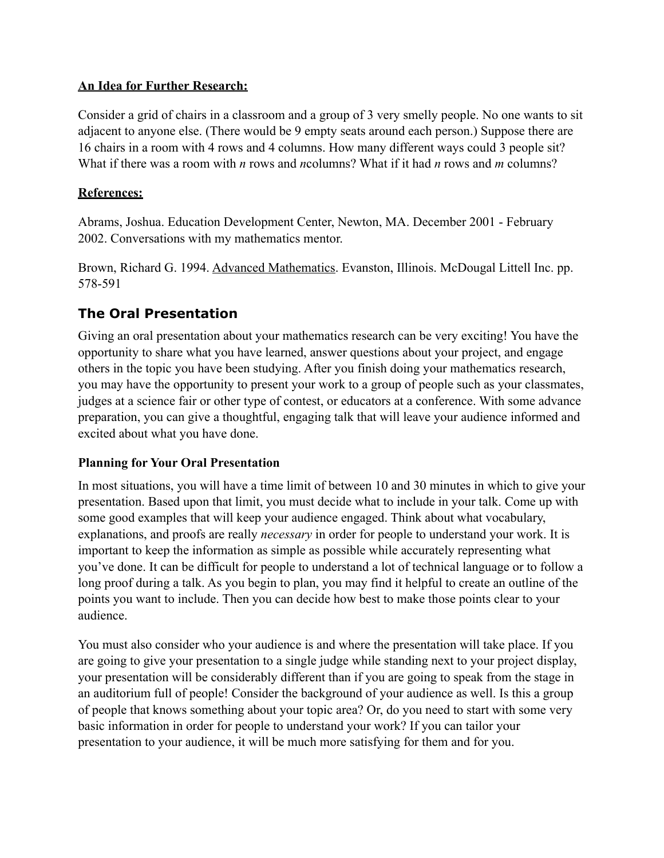#### **An Idea for Further Research:**

Consider a grid of chairs in a classroom and a group of 3 very smelly people. No one wants to sit adjacent to anyone else. (There would be 9 empty seats around each person.) Suppose there are 16 chairs in a room with 4 rows and 4 columns. How many different ways could 3 people sit? What if there was a room with *n* rows and *n*columns? What if it had *n* rows and *m* columns?

#### **References:**

Abrams, Joshua. Education Development Center, Newton, MA. December 2001 - February 2002. Conversations with my mathematics mentor.

Brown, Richard G. 1994. Advanced Mathematics. Evanston, Illinois. McDougal Littell Inc. pp. 578-591

# **The Oral Presentation**

Giving an oral presentation about your mathematics research can be very exciting! You have the opportunity to share what you have learned, answer questions about your project, and engage others in the topic you have been studying. After you finish doing your mathematics research, you may have the opportunity to present your work to a group of people such as your classmates, judges at a science fair or other type of contest, or educators at a conference. With some advance preparation, you can give a thoughtful, engaging talk that will leave your audience informed and excited about what you have done.

# **Planning for Your Oral Presentation**

In most situations, you will have a time limit of between 10 and 30 minutes in which to give your presentation. Based upon that limit, you must decide what to include in your talk. Come up with some good examples that will keep your audience engaged. Think about what vocabulary, explanations, and proofs are really *necessary* in order for people to understand your work. It is important to keep the information as simple as possible while accurately representing what you've done. It can be difficult for people to understand a lot of technical language or to follow a long proof during a talk. As you begin to plan, you may find it helpful to create an outline of the points you want to include. Then you can decide how best to make those points clear to your audience.

You must also consider who your audience is and where the presentation will take place. If you are going to give your presentation to a single judge while standing next to your project display, your presentation will be considerably different than if you are going to speak from the stage in an auditorium full of people! Consider the background of your audience as well. Is this a group of people that knows something about your topic area? Or, do you need to start with some very basic information in order for people to understand your work? If you can tailor your presentation to your audience, it will be much more satisfying for them and for you.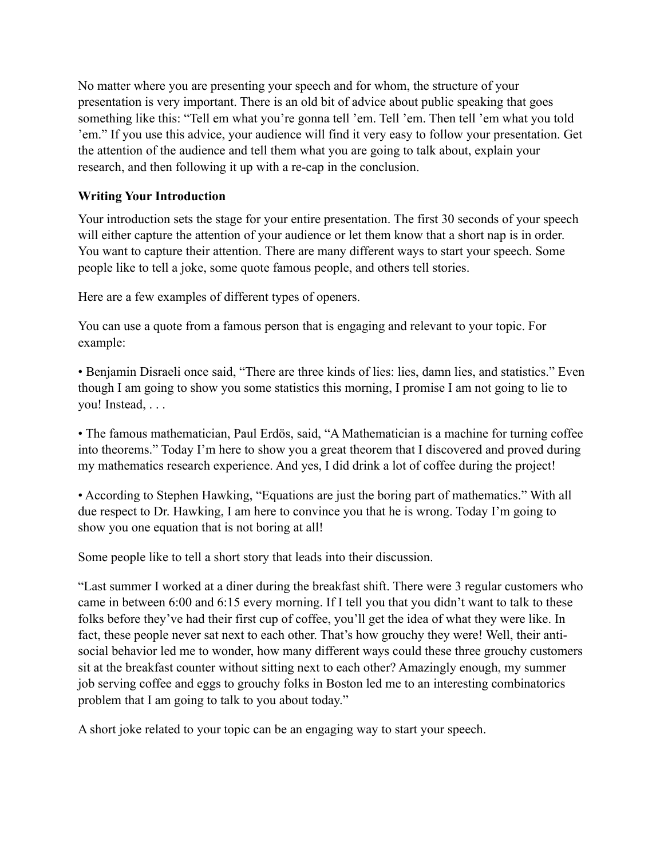No matter where you are presenting your speech and for whom, the structure of your presentation is very important. There is an old bit of advice about public speaking that goes something like this: "Tell em what you're gonna tell 'em. Tell 'em. Then tell 'em what you told 'em." If you use this advice, your audience will find it very easy to follow your presentation. Get the attention of the audience and tell them what you are going to talk about, explain your research, and then following it up with a re-cap in the conclusion.

### **Writing Your Introduction**

Your introduction sets the stage for your entire presentation. The first 30 seconds of your speech will either capture the attention of your audience or let them know that a short nap is in order. You want to capture their attention. There are many different ways to start your speech. Some people like to tell a joke, some quote famous people, and others tell stories.

Here are a few examples of different types of openers.

You can use a quote from a famous person that is engaging and relevant to your topic. For example:

• Benjamin Disraeli once said, "There are three kinds of lies: lies, damn lies, and statistics." Even though I am going to show you some statistics this morning, I promise I am not going to lie to you! Instead, . . .

• The famous mathematician, Paul Erdös, said, "A Mathematician is a machine for turning coffee into theorems." Today I'm here to show you a great theorem that I discovered and proved during my mathematics research experience. And yes, I did drink a lot of coffee during the project!

• According to Stephen Hawking, "Equations are just the boring part of mathematics." With all due respect to Dr. Hawking, I am here to convince you that he is wrong. Today I'm going to show you one equation that is not boring at all!

Some people like to tell a short story that leads into their discussion.

"Last summer I worked at a diner during the breakfast shift. There were 3 regular customers who came in between 6:00 and 6:15 every morning. If I tell you that you didn't want to talk to these folks before they've had their first cup of coffee, you'll get the idea of what they were like. In fact, these people never sat next to each other. That's how grouchy they were! Well, their antisocial behavior led me to wonder, how many different ways could these three grouchy customers sit at the breakfast counter without sitting next to each other? Amazingly enough, my summer job serving coffee and eggs to grouchy folks in Boston led me to an interesting combinatorics problem that I am going to talk to you about today."

A short joke related to your topic can be an engaging way to start your speech.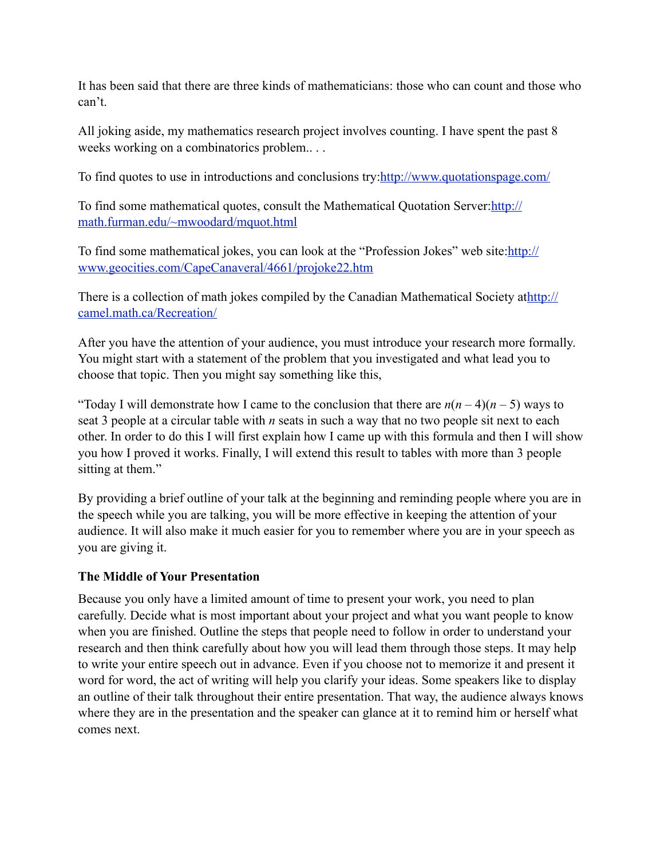It has been said that there are three kinds of mathematicians: those who can count and those who can't.

All joking aside, my mathematics research project involves counting. I have spent the past 8 weeks working on a combinatorics problem.. . .

To find quotes to use in introductions and conclusions try:<http://www.quotationspage.com/>

To find some mathematical quotes, consult the Mathematical Quotation Server: http:// [math.furman.edu/~mwoodard/mquot.html](http://math.furman.edu/~mwoodard/mquot.html)

To find some mathematical jokes, you can look at the "Profession Jokes" web site[:http://](http://www.geocities.com/CapeCanaveral/4661/projoke22.htm) [www.geocities.com/CapeCanaveral/4661/projoke22.htm](http://www.geocities.com/CapeCanaveral/4661/projoke22.htm)

There is a collection of math jokes compiled by the Canadian Mathematical Society a[thttp://](http://camel.math.ca/Recreation/) [camel.math.ca/Recreation/](http://camel.math.ca/Recreation/)

After you have the attention of your audience, you must introduce your research more formally. You might start with a statement of the problem that you investigated and what lead you to choose that topic. Then you might say something like this,

"Today I will demonstrate how I came to the conclusion that there are  $n(n-4)(n-5)$  ways to seat 3 people at a circular table with *n* seats in such a way that no two people sit next to each other. In order to do this I will first explain how I came up with this formula and then I will show you how I proved it works. Finally, I will extend this result to tables with more than 3 people sitting at them."

By providing a brief outline of your talk at the beginning and reminding people where you are in the speech while you are talking, you will be more effective in keeping the attention of your audience. It will also make it much easier for you to remember where you are in your speech as you are giving it.

# **The Middle of Your Presentation**

Because you only have a limited amount of time to present your work, you need to plan carefully. Decide what is most important about your project and what you want people to know when you are finished. Outline the steps that people need to follow in order to understand your research and then think carefully about how you will lead them through those steps. It may help to write your entire speech out in advance. Even if you choose not to memorize it and present it word for word, the act of writing will help you clarify your ideas. Some speakers like to display an outline of their talk throughout their entire presentation. That way, the audience always knows where they are in the presentation and the speaker can glance at it to remind him or herself what comes next.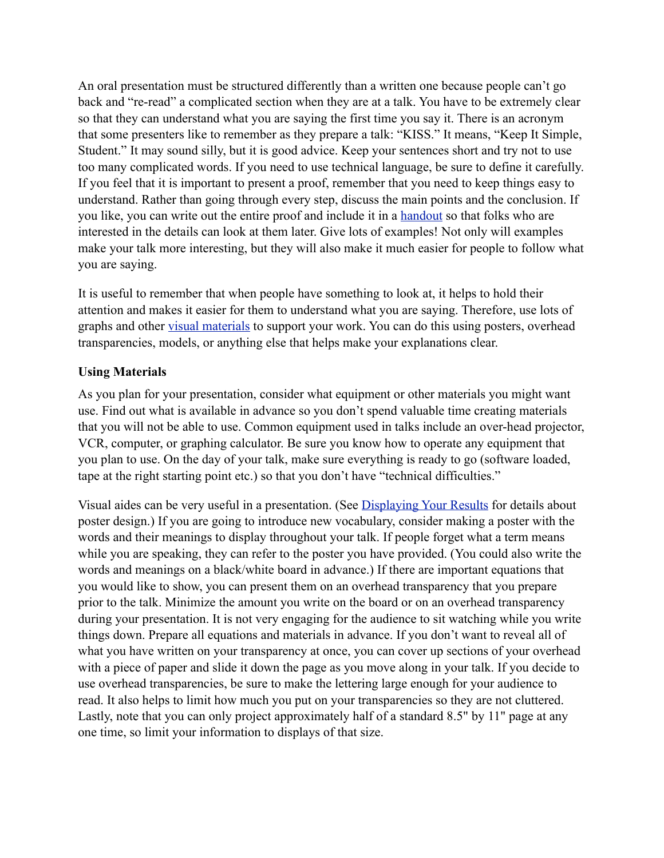An oral presentation must be structured differently than a written one because people can't go back and "re-read" a complicated section when they are at a talk. You have to be extremely clear so that they can understand what you are saying the first time you say it. There is an acronym that some presenters like to remember as they prepare a talk: "KISS." It means, "Keep It Simple, Student." It may sound silly, but it is good advice. Keep your sentences short and try not to use too many complicated words. If you need to use technical language, be sure to define it carefully. If you feel that it is important to present a proof, remember that you need to keep things easy to understand. Rather than going through every step, discuss the main points and the conclusion. If you like, you can write out the entire proof and include it in a [handout](http://www2.edc.org/makingmath/handbook/teacher/presentingYourResearch/presentingYourResearch.asp#Handouts) so that folks who are interested in the details can look at them later. Give lots of examples! Not only will examples make your talk more interesting, but they will also make it much easier for people to follow what you are saying.

It is useful to remember that when people have something to look at, it helps to hold their attention and makes it easier for them to understand what you are saying. Therefore, use lots of graphs and other [visual materials](http://www2.edc.org/makingmath/handbook/teacher/presentingYourResearch/presentingYourResearch.asp#UsingMaterials) to support your work. You can do this using posters, overhead transparencies, models, or anything else that helps make your explanations clear.

#### **Using Materials**

As you plan for your presentation, consider what equipment or other materials you might want use. Find out what is available in advance so you don't spend valuable time creating materials that you will not be able to use. Common equipment used in talks include an over-head projector, VCR, computer, or graphing calculator. Be sure you know how to operate any equipment that you plan to use. On the day of your talk, make sure everything is ready to go (software loaded, tape at the right starting point etc.) so that you don't have "technical difficulties."

Visual aides can be very useful in a presentation. (See *Displaying Your Results* for details about poster design.) If you are going to introduce new vocabulary, consider making a poster with the words and their meanings to display throughout your talk. If people forget what a term means while you are speaking, they can refer to the poster you have provided. (You could also write the words and meanings on a black/white board in advance.) If there are important equations that you would like to show, you can present them on an overhead transparency that you prepare prior to the talk. Minimize the amount you write on the board or on an overhead transparency during your presentation. It is not very engaging for the audience to sit watching while you write things down. Prepare all equations and materials in advance. If you don't want to reveal all of what you have written on your transparency at once, you can cover up sections of your overhead with a piece of paper and slide it down the page as you move along in your talk. If you decide to use overhead transparencies, be sure to make the lettering large enough for your audience to read. It also helps to limit how much you put on your transparencies so they are not cluttered. Lastly, note that you can only project approximately half of a standard 8.5" by 11" page at any one time, so limit your information to displays of that size.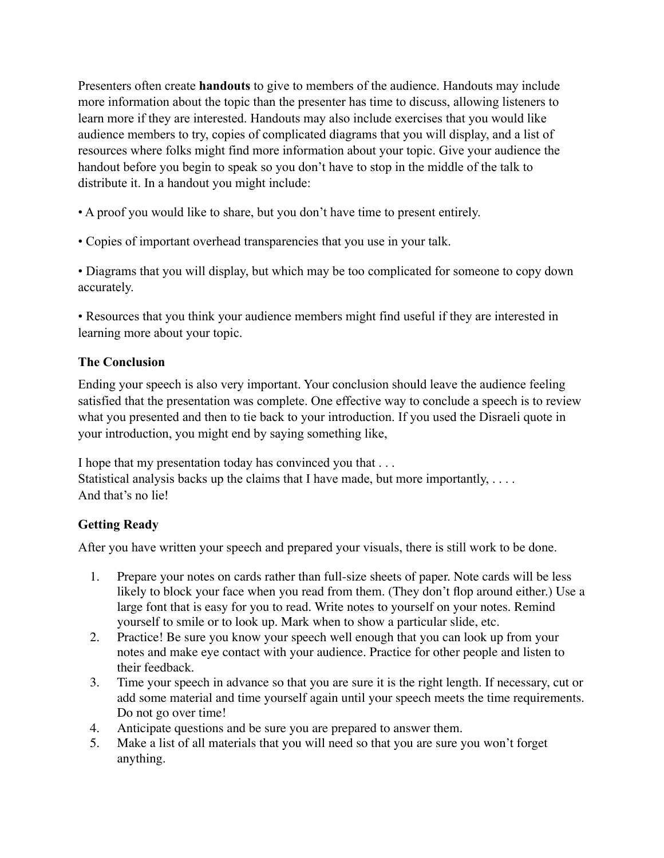Presenters often create **handouts** to give to members of the audience. Handouts may include more information about the topic than the presenter has time to discuss, allowing listeners to learn more if they are interested. Handouts may also include exercises that you would like audience members to try, copies of complicated diagrams that you will display, and a list of resources where folks might find more information about your topic. Give your audience the handout before you begin to speak so you don't have to stop in the middle of the talk to distribute it. In a handout you might include:

- A proof you would like to share, but you don't have time to present entirely.
- Copies of important overhead transparencies that you use in your talk.

• Diagrams that you will display, but which may be too complicated for someone to copy down accurately.

• Resources that you think your audience members might find useful if they are interested in learning more about your topic.

#### **The Conclusion**

Ending your speech is also very important. Your conclusion should leave the audience feeling satisfied that the presentation was complete. One effective way to conclude a speech is to review what you presented and then to tie back to your introduction. If you used the Disraeli quote in your introduction, you might end by saying something like,

I hope that my presentation today has convinced you that . . . Statistical analysis backs up the claims that I have made, but more importantly, .... And that's no lie!

# **Getting Ready**

After you have written your speech and prepared your visuals, there is still work to be done.

- 1. Prepare your notes on cards rather than full-size sheets of paper. Note cards will be less likely to block your face when you read from them. (They don't flop around either.) Use a large font that is easy for you to read. Write notes to yourself on your notes. Remind yourself to smile or to look up. Mark when to show a particular slide, etc.
- 2. Practice! Be sure you know your speech well enough that you can look up from your notes and make eye contact with your audience. Practice for other people and listen to their feedback.
- 3. Time your speech in advance so that you are sure it is the right length. If necessary, cut or add some material and time yourself again until your speech meets the time requirements. Do not go over time!
- 4. Anticipate questions and be sure you are prepared to answer them.
- 5. Make a list of all materials that you will need so that you are sure you won't forget anything.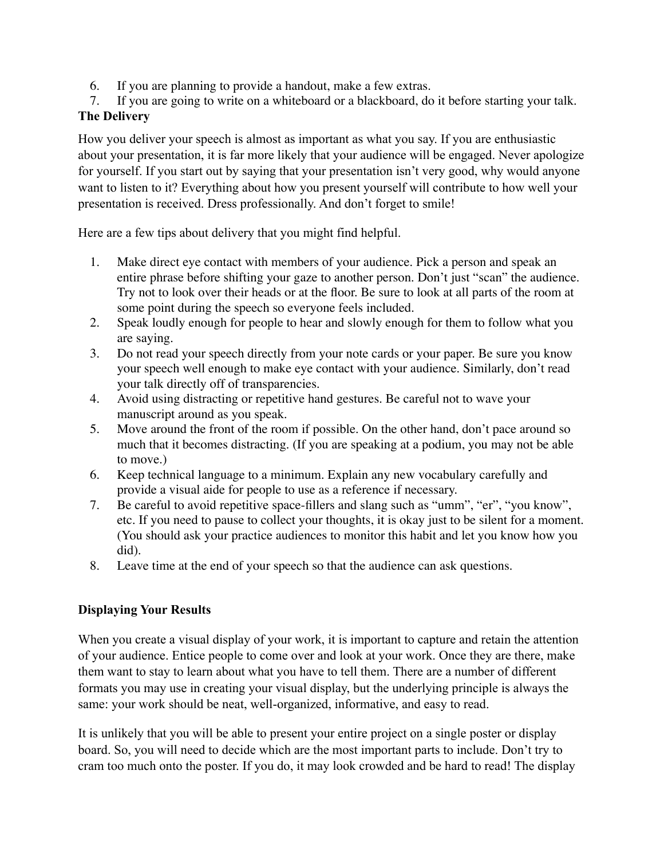- 6. If you are planning to provide a handout, make a few extras.
- 7. If you are going to write on a whiteboard or a blackboard, do it before starting your talk.

# **The Delivery**

How you deliver your speech is almost as important as what you say. If you are enthusiastic about your presentation, it is far more likely that your audience will be engaged. Never apologize for yourself. If you start out by saying that your presentation isn't very good, why would anyone want to listen to it? Everything about how you present yourself will contribute to how well your presentation is received. Dress professionally. And don't forget to smile!

Here are a few tips about delivery that you might find helpful.

- 1. Make direct eye contact with members of your audience. Pick a person and speak an entire phrase before shifting your gaze to another person. Don't just "scan" the audience. Try not to look over their heads or at the floor. Be sure to look at all parts of the room at some point during the speech so everyone feels included.
- 2. Speak loudly enough for people to hear and slowly enough for them to follow what you are saying.
- 3. Do not read your speech directly from your note cards or your paper. Be sure you know your speech well enough to make eye contact with your audience. Similarly, don't read your talk directly off of transparencies.
- 4. Avoid using distracting or repetitive hand gestures. Be careful not to wave your manuscript around as you speak.
- 5. Move around the front of the room if possible. On the other hand, don't pace around so much that it becomes distracting. (If you are speaking at a podium, you may not be able to move.)
- 6. Keep technical language to a minimum. Explain any new vocabulary carefully and provide a visual aide for people to use as a reference if necessary.
- 7. Be careful to avoid repetitive space-fillers and slang such as "umm", "er", "you know", etc. If you need to pause to collect your thoughts, it is okay just to be silent for a moment. (You should ask your practice audiences to monitor this habit and let you know how you did).
- 8. Leave time at the end of your speech so that the audience can ask questions.

# **Displaying Your Results**

When you create a visual display of your work, it is important to capture and retain the attention of your audience. Entice people to come over and look at your work. Once they are there, make them want to stay to learn about what you have to tell them. There are a number of different formats you may use in creating your visual display, but the underlying principle is always the same: your work should be neat, well-organized, informative, and easy to read.

It is unlikely that you will be able to present your entire project on a single poster or display board. So, you will need to decide which are the most important parts to include. Don't try to cram too much onto the poster. If you do, it may look crowded and be hard to read! The display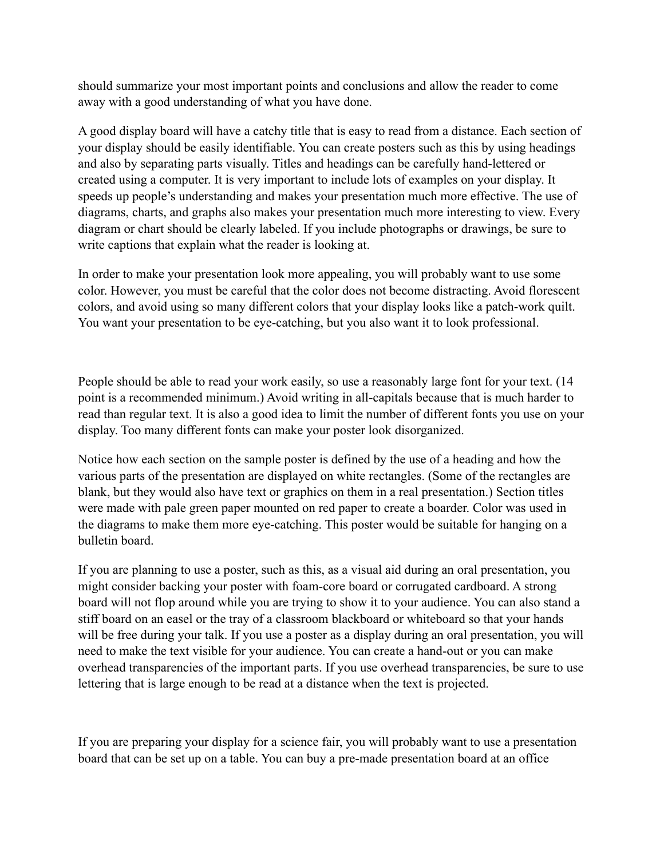should summarize your most important points and conclusions and allow the reader to come away with a good understanding of what you have done.

A good display board will have a catchy title that is easy to read from a distance. Each section of your display should be easily identifiable. You can create posters such as this by using headings and also by separating parts visually. Titles and headings can be carefully hand-lettered or created using a computer. It is very important to include lots of examples on your display. It speeds up people's understanding and makes your presentation much more effective. The use of diagrams, charts, and graphs also makes your presentation much more interesting to view. Every diagram or chart should be clearly labeled. If you include photographs or drawings, be sure to write captions that explain what the reader is looking at.

In order to make your presentation look more appealing, you will probably want to use some color. However, you must be careful that the color does not become distracting. Avoid florescent colors, and avoid using so many different colors that your display looks like a patch-work quilt. You want your presentation to be eye-catching, but you also want it to look professional.

People should be able to read your work easily, so use a reasonably large font for your text. (14 point is a recommended minimum.) Avoid writing in all-capitals because that is much harder to read than regular text. It is also a good idea to limit the number of different fonts you use on your display. Too many different fonts can make your poster look disorganized.

Notice how each section on the sample poster is defined by the use of a heading and how the various parts of the presentation are displayed on white rectangles. (Some of the rectangles are blank, but they would also have text or graphics on them in a real presentation.) Section titles were made with pale green paper mounted on red paper to create a boarder. Color was used in the diagrams to make them more eye-catching. This poster would be suitable for hanging on a bulletin board.

If you are planning to use a poster, such as this, as a visual aid during an oral presentation, you might consider backing your poster with foam-core board or corrugated cardboard. A strong board will not flop around while you are trying to show it to your audience. You can also stand a stiff board on an easel or the tray of a classroom blackboard or whiteboard so that your hands will be free during your talk. If you use a poster as a display during an oral presentation, you will need to make the text visible for your audience. You can create a hand-out or you can make overhead transparencies of the important parts. If you use overhead transparencies, be sure to use lettering that is large enough to be read at a distance when the text is projected.

If you are preparing your display for a science fair, you will probably want to use a presentation board that can be set up on a table. You can buy a pre-made presentation board at an office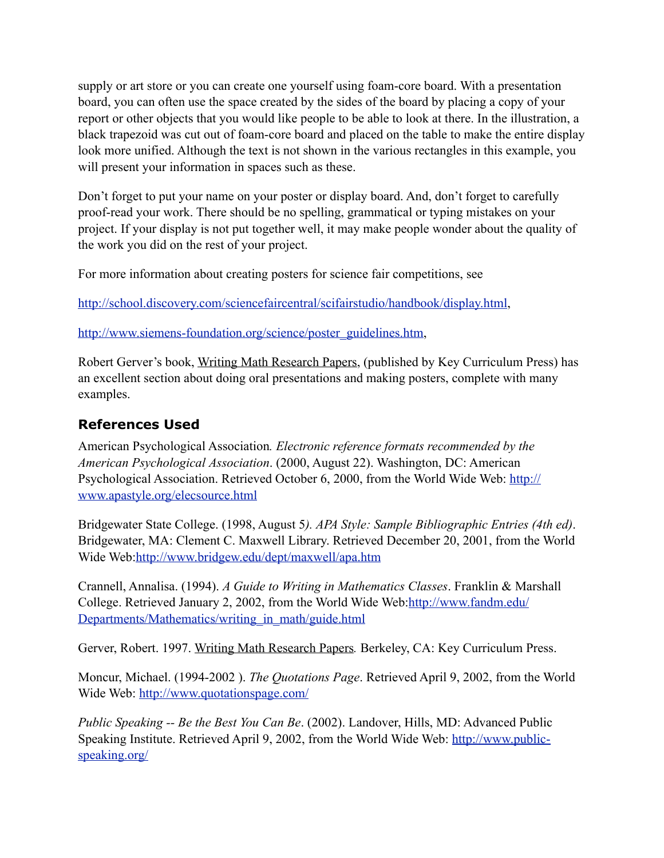supply or art store or you can create one yourself using foam-core board. With a presentation board, you can often use the space created by the sides of the board by placing a copy of your report or other objects that you would like people to be able to look at there. In the illustration, a black trapezoid was cut out of foam-core board and placed on the table to make the entire display look more unified. Although the text is not shown in the various rectangles in this example, you will present your information in spaces such as these.

Don't forget to put your name on your poster or display board. And, don't forget to carefully proof-read your work. There should be no spelling, grammatical or typing mistakes on your project. If your display is not put together well, it may make people wonder about the quality of the work you did on the rest of your project.

For more information about creating posters for science fair competitions, see

<http://school.discovery.com/sciencefaircentral/scifairstudio/handbook/display.html>,

[http://www.siemens-foundation.org/science/poster\\_guidelines.htm,](http://www.siemens-foundation.org/science/poster_guidelines.htm)

Robert Gerver's book, Writing Math Research Papers, (published by Key Curriculum Press) has an excellent section about doing oral presentations and making posters, complete with many examples.

# **References Used**

American Psychological Association*. Electronic reference formats recommended by the American Psychological Association*. (2000, August 22). Washington, DC: American Psychological Association. Retrieved October 6, 2000, from the World Wide Web: [http://](http://www.apastyle.org/elecsource.html) [www.apastyle.org/elecsource.html](http://www.apastyle.org/elecsource.html)

Bridgewater State College. (1998, August 5*). APA Style: Sample Bibliographic Entries (4th ed)*. Bridgewater, MA: Clement C. Maxwell Library. Retrieved December 20, 2001, from the World Wide Web[:http://www.bridgew.edu/dept/maxwell/apa.htm](http://www.bridgew.edu/dept/maxwell/apa.htm)

Crannell, Annalisa. (1994). *A Guide to Writing in Mathematics Classes*. Franklin & Marshall College. Retrieved January 2, 2002, from the World Wide Web:[http://www.fandm.edu/](http://www.fandm.edu/Departments/Mathematics/writing_in_math/guide.html) [Departments/Mathematics/writing\\_in\\_math/guide.html](http://www.fandm.edu/Departments/Mathematics/writing_in_math/guide.html)

Gerver, Robert. 1997. Writing Math Research Papers*.* Berkeley, CA: Key Curriculum Press.

Moncur, Michael. (1994-2002 ). *The Quotations Page*. Retrieved April 9, 2002, from the World Wide Web:<http://www.quotationspage.com/>

*Public Speaking -- Be the Best You Can Be*. (2002). Landover, Hills, MD: Advanced Public Speaking Institute. Retrieved April 9, 2002, from the World Wide Web: [http://www.public](http://www.public-speaking.org/)[speaking.org/](http://www.public-speaking.org/)